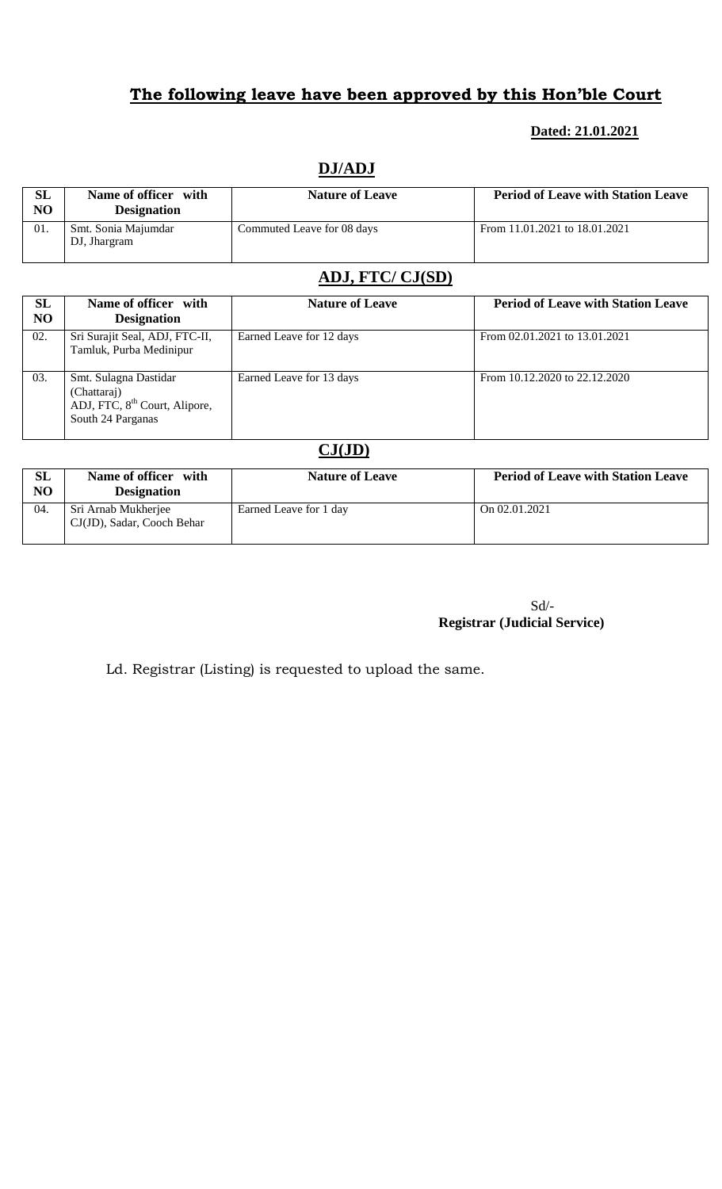#### **Dated: 21.01.2021**

| SL<br>N <sub>O</sub> | Name of officer with<br><b>Designation</b> | <b>Nature of Leave</b>     | <b>Period of Leave with Station Leave</b> |
|----------------------|--------------------------------------------|----------------------------|-------------------------------------------|
| 01.                  | Smt. Sonia Majumdar<br>DJ, Jhargram        | Commuted Leave for 08 days | From 11.01.2021 to 18.01.2021             |

## **DJ/ADJ**

### **ADJ, FTC/ CJ(SD)**

| SL                                  | Name of officer with                                                                                   | <b>Nature of Leave</b>   | <b>Period of Leave with Station Leave</b> |
|-------------------------------------|--------------------------------------------------------------------------------------------------------|--------------------------|-------------------------------------------|
| N <sub>O</sub>                      | <b>Designation</b>                                                                                     |                          |                                           |
| 02.                                 | Sri Surajit Seal, ADJ, FTC-II,<br>Tamluk, Purba Medinipur                                              | Earned Leave for 12 days | From 02.01.2021 to 13.01.2021             |
| 03.                                 | Smt. Sulagna Dastidar<br>(Chattaraj)<br>ADJ, FTC, 8 <sup>th</sup> Court, Alipore,<br>South 24 Parganas | Earned Leave for 13 days | From 10.12.2020 to 22.12.2020             |
| $\mathbb{C}\mathbf{J}(\mathbf{JD})$ |                                                                                                        |                          |                                           |

| <b>SL</b><br>NO | Name of officer with<br><b>Designation</b>        | <b>Nature of Leave</b> | <b>Period of Leave with Station Leave</b> |
|-----------------|---------------------------------------------------|------------------------|-------------------------------------------|
| 04.             | Sri Arnab Mukherjee<br>CJ(JD), Sadar, Cooch Behar | Earned Leave for 1 day | On $02.01.2021$                           |

Sd/-  **Registrar (Judicial Service)**

Ld. Registrar (Listing) is requested to upload the same.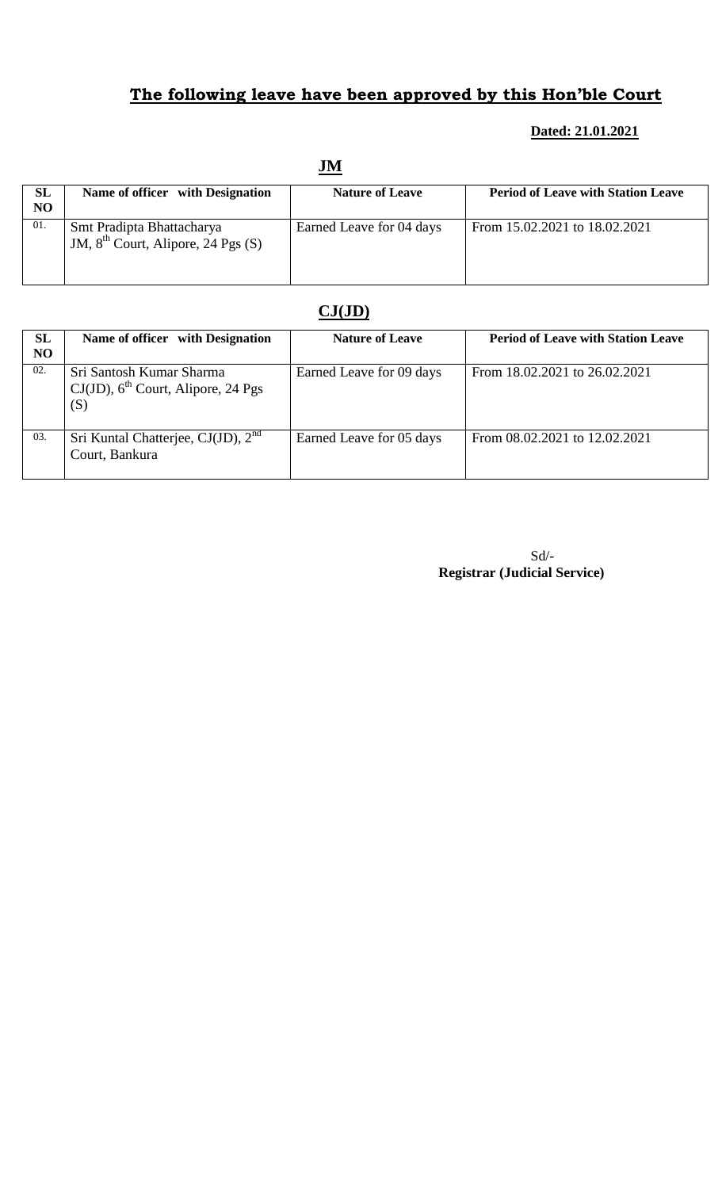#### **Dated: 21.01.2021**

|     |                                                                   | <b>JIAT</b>              |                                           |
|-----|-------------------------------------------------------------------|--------------------------|-------------------------------------------|
| SL  | Name of officer with Designation                                  | <b>Nature of Leave</b>   | <b>Period of Leave with Station Leave</b> |
| NO  |                                                                   |                          |                                           |
| 01. | Smt Pradipta Bhattacharya<br>JM, $8th$ Court, Alipore, 24 Pgs (S) | Earned Leave for 04 days | From 15.02.2021 to 18.02.2021             |

## **CJ(JD)**

| <b>SL</b><br>NO | Name of officer with Designation                                                     | <b>Nature of Leave</b>   | <b>Period of Leave with Station Leave</b> |
|-----------------|--------------------------------------------------------------------------------------|--------------------------|-------------------------------------------|
| 02.             | Sri Santosh Kumar Sharma<br>$CJ(JD)$ , 6 <sup>th</sup> Court, Alipore, 24 Pgs<br>(S) | Earned Leave for 09 days | From 18.02.2021 to 26.02.2021             |
| 03.             | Sri Kuntal Chatterjee, CJ(JD), 2 <sup>nd</sup><br>Court, Bankura                     | Earned Leave for 05 days | From 08.02.2021 to 12.02.2021             |

Sd/-  **Registrar (Judicial Service)**

### **JM**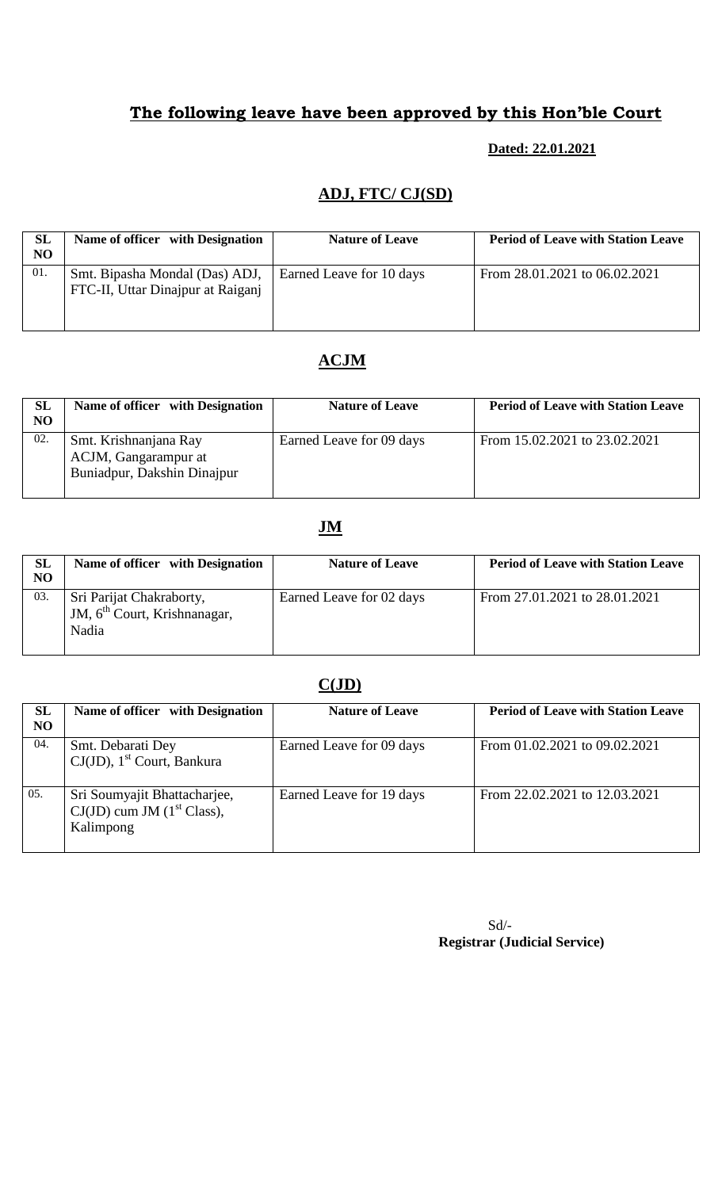#### **Dated: 22.01.2021**

## **ADJ, FTC/ CJ(SD)**

| <b>SL</b><br>NO | Name of officer with Designation                                    | <b>Nature of Leave</b>   | <b>Period of Leave with Station Leave</b> |
|-----------------|---------------------------------------------------------------------|--------------------------|-------------------------------------------|
| 01.             | Smt. Bipasha Mondal (Das) ADJ,<br>FTC-II, Uttar Dinajpur at Raiganj | Earned Leave for 10 days | From 28.01.2021 to 06.02.2021             |

## **ACJM**

| SL<br>NO | Name of officer with Designation                                             | <b>Nature of Leave</b>   | <b>Period of Leave with Station Leave</b> |
|----------|------------------------------------------------------------------------------|--------------------------|-------------------------------------------|
| 02.      | Smt. Krishnanjana Ray<br>ACJM, Gangarampur at<br>Buniadpur, Dakshin Dinajpur | Earned Leave for 09 days | From 15.02.2021 to 23.02.2021             |

## **JM**

| <b>SL</b><br>N <sub>O</sub> | Name of officer with Designation                                    | <b>Nature of Leave</b>   | <b>Period of Leave with Station Leave</b> |
|-----------------------------|---------------------------------------------------------------------|--------------------------|-------------------------------------------|
| 03.                         | Sri Parijat Chakraborty,<br>JM, $6th$ Court, Krishnanagar,<br>Nadia | Earned Leave for 02 days | From 27.01.2021 to 28.01.2021             |

## **C(JD)**

| SL<br>N <sub>O</sub> | Name of officer with Designation                                             | <b>Nature of Leave</b>   | <b>Period of Leave with Station Leave</b> |
|----------------------|------------------------------------------------------------------------------|--------------------------|-------------------------------------------|
| 04.                  | Smt. Debarati Dey<br>$CJ(JD)$ , 1 <sup>st</sup> Court, Bankura               | Earned Leave for 09 days | From 01.02.2021 to 09.02.2021             |
| 05.                  | Sri Soumyajit Bhattacharjee,<br>$CJ(JD)$ cum JM $(1st Class)$ ,<br>Kalimpong | Earned Leave for 19 days | From 22.02.2021 to 12.03.2021             |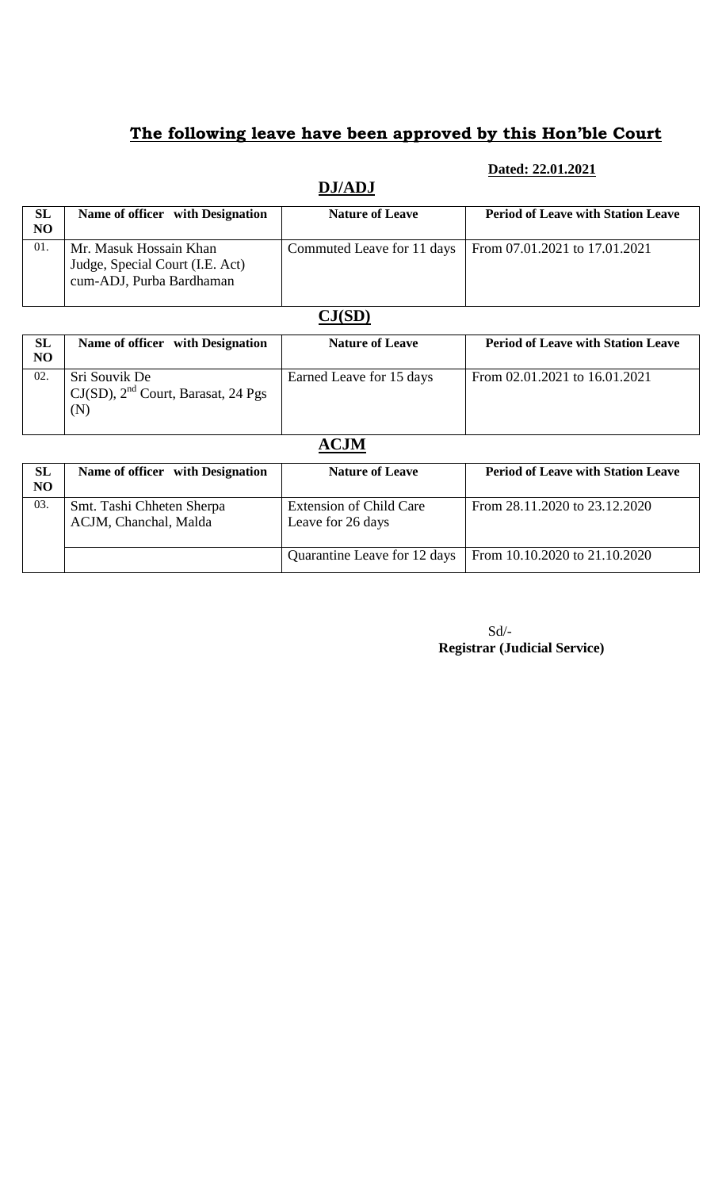#### **Dated: 22.01.2021**

| SL  | Name of officer with Designation                                                      | <b>Nature of Leave</b>     | <b>Period of Leave with Station Leave</b> |
|-----|---------------------------------------------------------------------------------------|----------------------------|-------------------------------------------|
| NO  |                                                                                       |                            |                                           |
| 01. | Mr. Masuk Hossain Khan<br>Judge, Special Court (I.E. Act)<br>cum-ADJ, Purba Bardhaman | Commuted Leave for 11 days | From 07.01.2021 to 17.01.2021             |
|     |                                                                                       |                            |                                           |

| <b>SL</b><br>N <sub>O</sub> | Name of officer with Designation                             | <b>Nature of Leave</b>   | <b>Period of Leave with Station Leave</b> |
|-----------------------------|--------------------------------------------------------------|--------------------------|-------------------------------------------|
| 02.                         | Sri Souvik De<br>$CI(SD), 2nd Court, Barasat, 24 Pgs$<br>(N) | Earned Leave for 15 days | From 02.01.2021 to 16.01.2021             |

**ACJM**

| <b>SL</b><br>NO | Name of officer with Designation                   | <b>Nature of Leave</b>                              | <b>Period of Leave with Station Leave</b> |
|-----------------|----------------------------------------------------|-----------------------------------------------------|-------------------------------------------|
| 03.             | Smt. Tashi Chheten Sherpa<br>ACJM, Chanchal, Malda | <b>Extension of Child Care</b><br>Leave for 26 days | From 28.11.2020 to 23.12.2020             |
|                 |                                                    | Quarantine Leave for 12 days                        | From 10.10.2020 to $21.10.2020$           |

Sd/-  **Registrar (Judicial Service)**

#### **DJ/ADJ**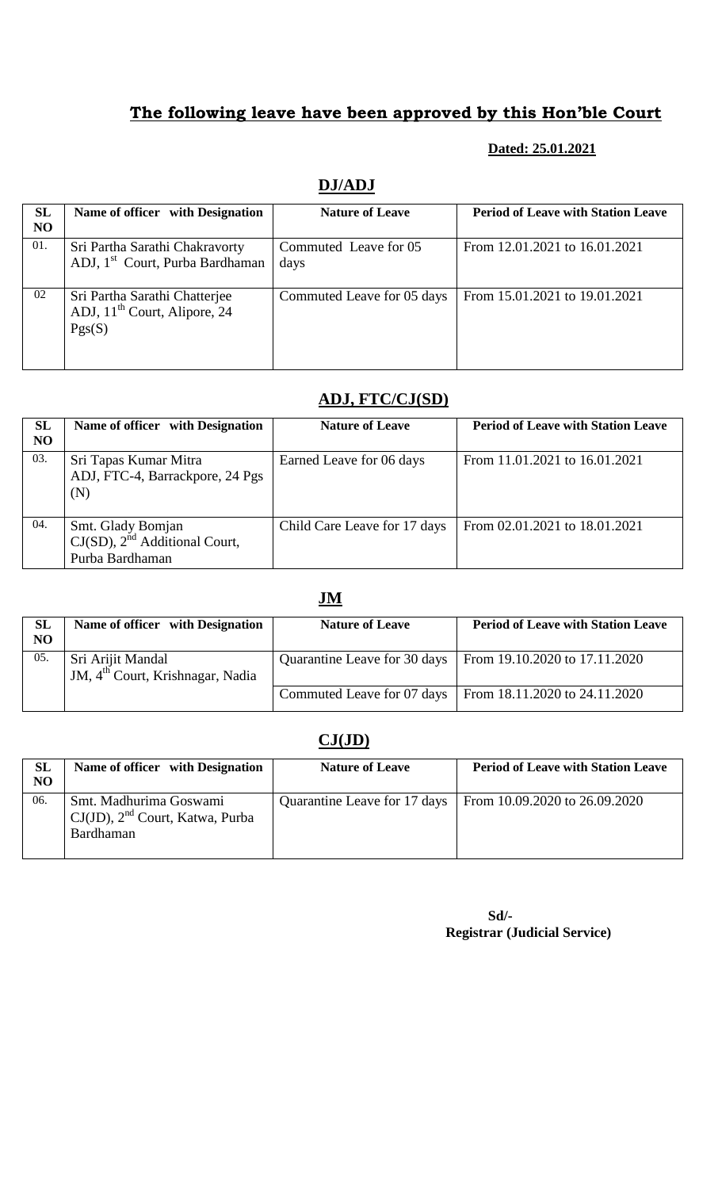### **Dated: 25.01.2021**

# **DJ/ADJ**

| SL<br><b>NO</b> | Name of officer with Designation                                                    | <b>Nature of Leave</b>        | <b>Period of Leave with Station Leave</b> |
|-----------------|-------------------------------------------------------------------------------------|-------------------------------|-------------------------------------------|
| 01.             | Sri Partha Sarathi Chakravorty<br>ADJ, 1 <sup>st</sup> Court, Purba Bardhaman       | Commuted Leave for 05<br>days | From 12.01.2021 to 16.01.2021             |
| 02              | Sri Partha Sarathi Chatterjee<br>ADJ, 11 <sup>th</sup> Court, Alipore, 24<br>Pgs(S) | Commuted Leave for 05 days    | From 15.01.2021 to 19.01.2021             |

### **ADJ, FTC/CJ(SD)**

| <b>SL</b><br>N <sub>O</sub> | Name of officer with Designation                                           | <b>Nature of Leave</b>       | <b>Period of Leave with Station Leave</b> |
|-----------------------------|----------------------------------------------------------------------------|------------------------------|-------------------------------------------|
| 03.                         | Sri Tapas Kumar Mitra<br>ADJ, FTC-4, Barrackpore, 24 Pgs<br>(N)            | Earned Leave for 06 days     | From 11.01.2021 to 16.01.2021             |
| 04.                         | Smt. Glady Bomjan<br>$CJ(SD)$ , $2nd$ Additional Court,<br>Purba Bardhaman | Child Care Leave for 17 days | From 02.01.2021 to 18.01.2021             |

### **JM**

| <b>SL</b><br>N <sub>O</sub> | Name of officer with Designation                                  | <b>Nature of Leave</b>       | <b>Period of Leave with Station Leave</b> |
|-----------------------------|-------------------------------------------------------------------|------------------------------|-------------------------------------------|
| 05.                         | Sri Arijit Mandal<br>JM, 4 <sup>th</sup> Court, Krishnagar, Nadia | Quarantine Leave for 30 days | From 19.10.2020 to 17.11.2020             |
|                             |                                                                   | Commuted Leave for 07 days   | From 18.11.2020 to 24.11.2020             |

## **CJ(JD)**

| <b>SL</b><br>N <sub>O</sub> | Name of officer with Designation                                            | <b>Nature of Leave</b>       | <b>Period of Leave with Station Leave</b> |
|-----------------------------|-----------------------------------------------------------------------------|------------------------------|-------------------------------------------|
| 06.                         | Smt. Madhurima Goswami<br>$CJ(JD)$ , $2nd$ Court, Katwa, Purba<br>Bardhaman | Quarantine Leave for 17 days | From 10.09.2020 to 26.09.2020             |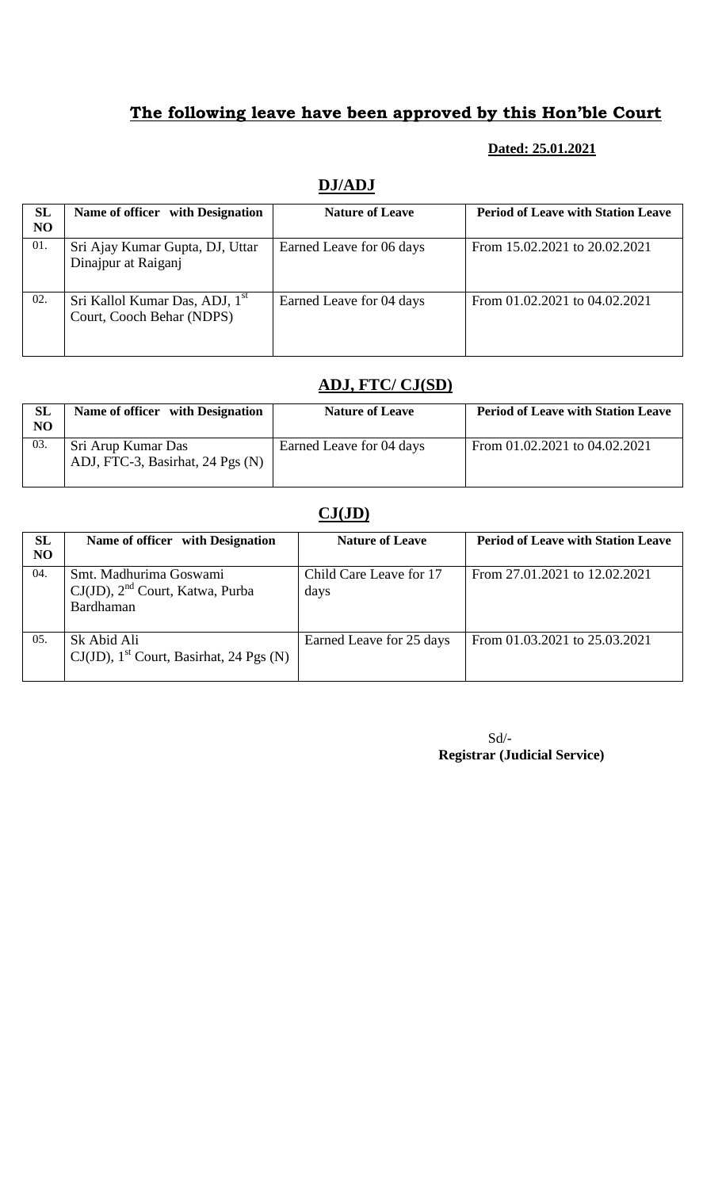#### **Dated: 25.01.2021**

# **DJ/ADJ**

| <b>SL</b><br><b>NO</b> | Name of officer with Designation                                        | <b>Nature of Leave</b>   | <b>Period of Leave with Station Leave</b> |
|------------------------|-------------------------------------------------------------------------|--------------------------|-------------------------------------------|
| 01.                    | Sri Ajay Kumar Gupta, DJ, Uttar<br>Dinajpur at Raiganj                  | Earned Leave for 06 days | From 15.02.2021 to 20.02.2021             |
| 02.                    | Sri Kallol Kumar Das, ADJ, 1 <sup>st</sup><br>Court, Cooch Behar (NDPS) | Earned Leave for 04 days | From 01.02.2021 to 04.02.2021             |

# **ADJ, FTC/ CJ(SD)**

| SL<br>NO. | Name of officer with Designation                       | <b>Nature of Leave</b>   | <b>Period of Leave with Station Leave</b> |
|-----------|--------------------------------------------------------|--------------------------|-------------------------------------------|
| 03.       | Sri Arup Kumar Das<br>ADJ, FTC-3, Basirhat, 24 Pgs (N) | Earned Leave for 04 days | From 01.02.2021 to 04.02.2021             |

## **CJ(JD)**

| SL<br>N <sub>O</sub> | Name of officer with Designation                                            | <b>Nature of Leave</b>          | <b>Period of Leave with Station Leave</b> |
|----------------------|-----------------------------------------------------------------------------|---------------------------------|-------------------------------------------|
| 04.                  | Smt. Madhurima Goswami<br>$CJ(JD)$ , $2nd$ Court, Katwa, Purba<br>Bardhaman | Child Care Leave for 17<br>days | From 27.01.2021 to 12.02.2021             |
| 05.                  | Sk Abid Ali<br>$CJ(JD)$ , 1 <sup>st</sup> Court, Basirhat, 24 Pgs (N)       | Earned Leave for 25 days        | From 01.03.2021 to 25.03.2021             |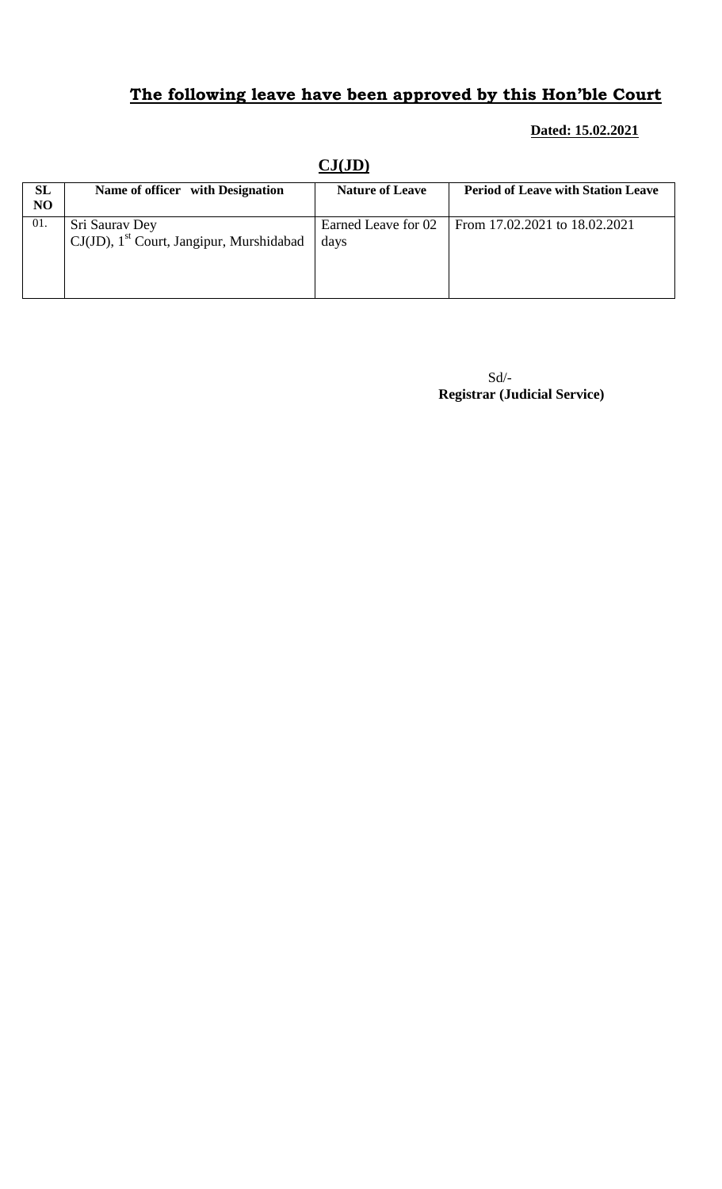### **Dated: 15.02.2021**

| <b>SL</b><br>N <sub>O</sub> | Name of officer with Designation                                       | <b>Nature of Leave</b>      | <b>Period of Leave with Station Leave</b> |
|-----------------------------|------------------------------------------------------------------------|-----------------------------|-------------------------------------------|
| 01.                         | Sri Saurav Dey<br>CJ(JD), 1 <sup>st</sup> Court, Jangipur, Murshidabad | Earned Leave for 02<br>days | From 17.02.2021 to 18.02.2021             |

### **CJ(JD)**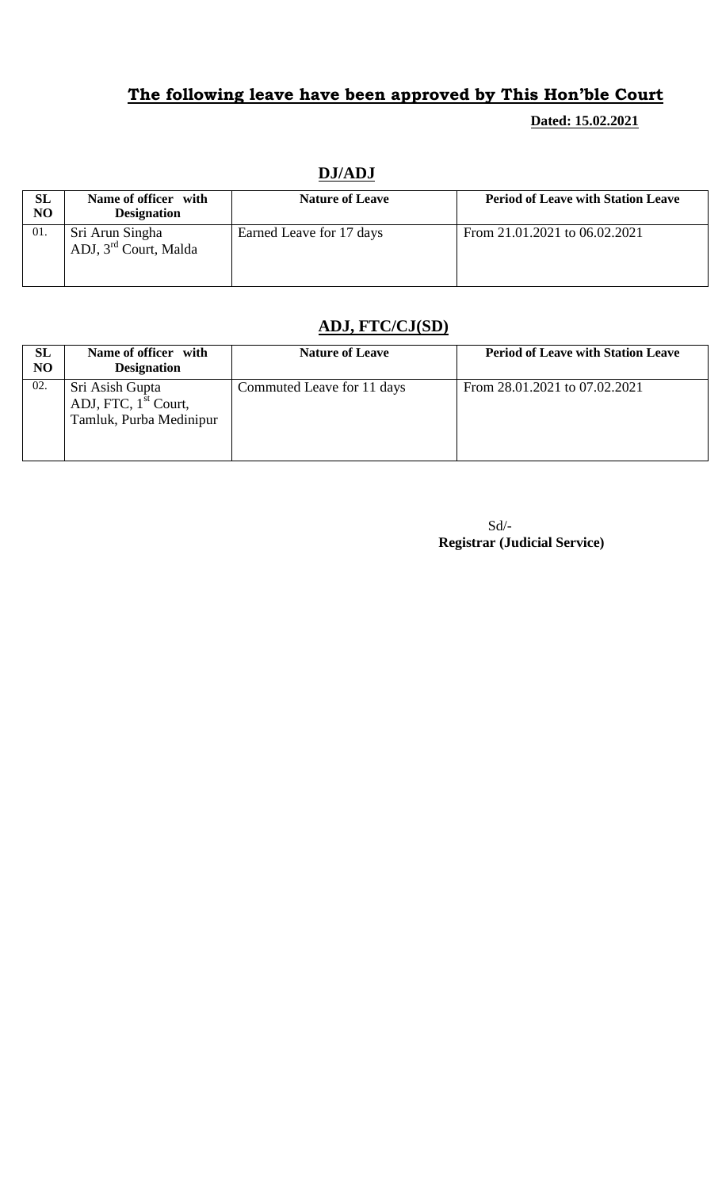**Dated: 15.02.2021**

| SL<br>N <sub>O</sub> | Name of officer with<br><b>Designation</b>           | <b>Nature of Leave</b>   | <b>Period of Leave with Station Leave</b> |
|----------------------|------------------------------------------------------|--------------------------|-------------------------------------------|
| 01.                  | Sri Arun Singha<br>ADJ, 3 <sup>rd</sup> Court, Malda | Earned Leave for 17 days | From 21.01.2021 to 06.02.2021             |

# **DJ/ADJ**

### **ADJ, FTC/CJ(SD)**

| <b>SL</b><br>N <sub>O</sub> | Name of officer with<br><b>Designation</b>                           | <b>Nature of Leave</b>     | <b>Period of Leave with Station Leave</b> |
|-----------------------------|----------------------------------------------------------------------|----------------------------|-------------------------------------------|
| 02.                         | Sri Asish Gupta<br>ADJ, FTC, $1st$ Court,<br>Tamluk, Purba Medinipur | Commuted Leave for 11 days | From 28.01.2021 to 07.02.2021             |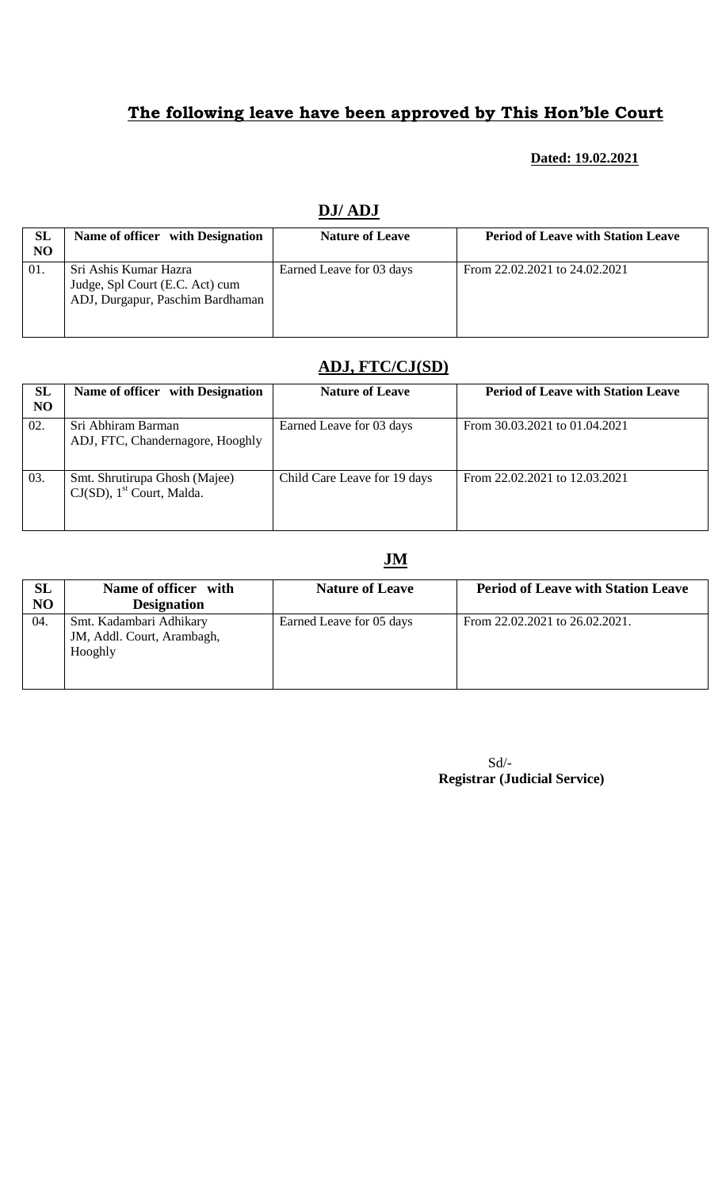#### **Dated: 19.02.2021**

#### **DJ/ ADJ**

| <b>SL</b><br>N <sub>O</sub> | Name of officer with Designation                                                             | <b>Nature of Leave</b>   | <b>Period of Leave with Station Leave</b> |
|-----------------------------|----------------------------------------------------------------------------------------------|--------------------------|-------------------------------------------|
| 01.                         | Sri Ashis Kumar Hazra<br>Judge, Spl Court (E.C. Act) cum<br>ADJ, Durgapur, Paschim Bardhaman | Earned Leave for 03 days | From 22.02.2021 to 24.02.2021             |

### **ADJ, FTC/CJ(SD)**

| SL<br>N <sub>O</sub> | Name of officer with Designation                                          | <b>Nature of Leave</b>       | <b>Period of Leave with Station Leave</b> |
|----------------------|---------------------------------------------------------------------------|------------------------------|-------------------------------------------|
| 02.                  | Sri Abhiram Barman<br>ADJ, FTC, Chandernagore, Hooghly                    | Earned Leave for 03 days     | From 30.03.2021 to 01.04.2021             |
| 03.                  | Smt. Shrutirupa Ghosh (Majee)<br>$CJ(SD)$ , 1 <sup>st</sup> Court, Malda. | Child Care Leave for 19 days | From 22.02.2021 to 12.03.2021             |

### **JM**

| <b>SL</b><br>N <sub>O</sub> | Name of officer with<br><b>Designation</b>                       | <b>Nature of Leave</b>   | <b>Period of Leave with Station Leave</b> |
|-----------------------------|------------------------------------------------------------------|--------------------------|-------------------------------------------|
| 04.                         | Smt. Kadambari Adhikary<br>JM, Addl. Court, Arambagh,<br>Hooghly | Earned Leave for 05 days | From 22.02.2021 to 26.02.2021.            |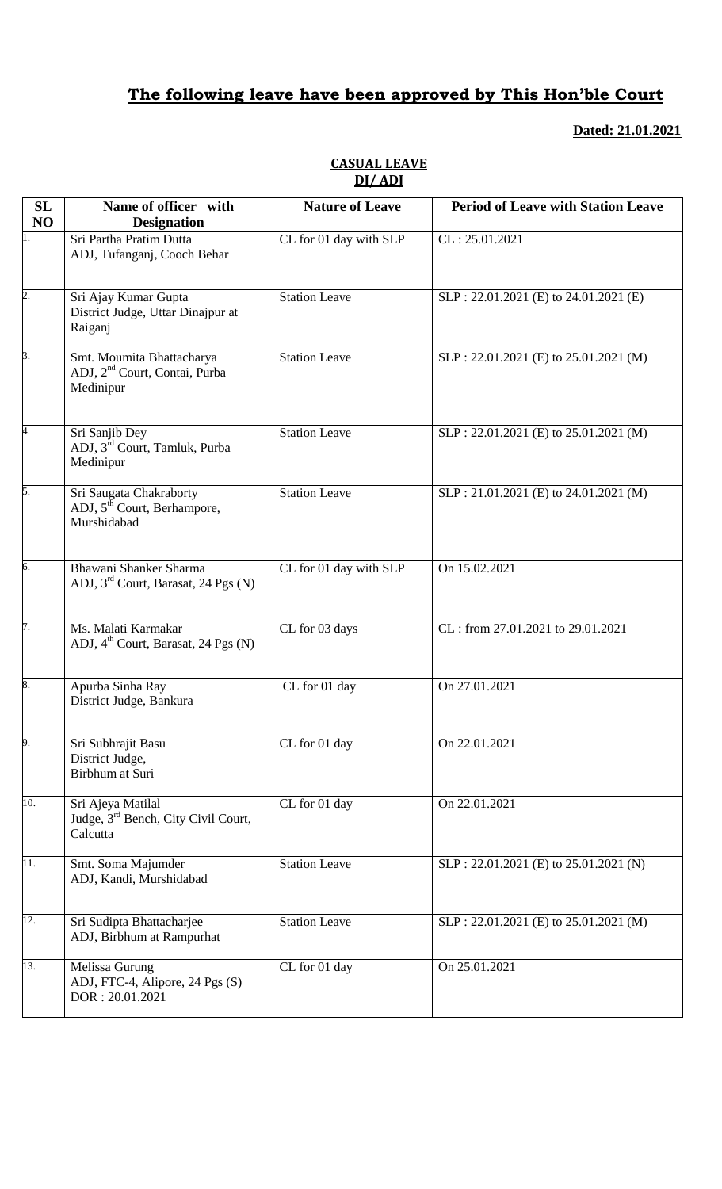## **Dated: 21.01.2021**

| SL<br>NO | Name of officer with<br><b>Designation</b>                                          | <b>Nature of Leave</b> | <b>Period of Leave with Station Leave</b> |
|----------|-------------------------------------------------------------------------------------|------------------------|-------------------------------------------|
|          | Sri Partha Pratim Dutta<br>ADJ, Tufanganj, Cooch Behar                              | CL for 01 day with SLP | CL: 25.01.2021                            |
| 2.       | Sri Ajay Kumar Gupta<br>District Judge, Uttar Dinajpur at<br>Raiganj                | <b>Station Leave</b>   | SLP: 22.01.2021 (E) to 24.01.2021 (E)     |
| 3.       | Smt. Moumita Bhattacharya<br>ADJ, 2 <sup>nd</sup> Court, Contai, Purba<br>Medinipur | <b>Station Leave</b>   | SLP: 22.01.2021 (E) to 25.01.2021 (M)     |
| 4.       | Sri Sanjib Dey<br>ADJ, 3 <sup>rd</sup> Court, Tamluk, Purba<br>Medinipur            | <b>Station Leave</b>   | SLP: 22.01.2021 (E) to 25.01.2021 (M)     |
| 5.       | Sri Saugata Chakraborty<br>ADJ, 5 <sup>th</sup> Court, Berhampore,<br>Murshidabad   | <b>Station Leave</b>   | SLP: 21.01.2021 (E) to 24.01.2021 (M)     |
| 6.       | Bhawani Shanker Sharma<br>ADJ, 3 <sup>rd</sup> Court, Barasat, 24 Pgs (N)           | CL for 01 day with SLP | On 15.02.2021                             |
| 7.       | Ms. Malati Karmakar<br>ADJ, 4 <sup>th</sup> Court, Barasat, 24 Pgs (N)              | CL for 03 days         | CL: from 27.01.2021 to 29.01.2021         |
| 8.       | Apurba Sinha Ray<br>District Judge, Bankura                                         | CL for 01 day          | On 27.01.2021                             |
| 9.       | Sri Subhrajit Basu<br>District Judge,<br>Birbhum at Suri                            | CL for 01 day          | On 22.01.2021                             |
| 10.      | Sri Ajeya Matilal<br>Judge, 3 <sup>rd</sup> Bench, City Civil Court,<br>Calcutta    | CL for 01 day          | On 22.01.2021                             |
| 11.      | Smt. Soma Majumder<br>ADJ, Kandi, Murshidabad                                       | <b>Station Leave</b>   | SLP: 22.01.2021 (E) to 25.01.2021 (N)     |
| 12.      | Sri Sudipta Bhattacharjee<br>ADJ, Birbhum at Rampurhat                              | <b>Station Leave</b>   | SLP: 22.01.2021 (E) to 25.01.2021 (M)     |
| 13.      | Melissa Gurung<br>ADJ, FTC-4, Alipore, 24 Pgs (S)<br>DOR: 20.01.2021                | CL for 01 day          | On 25.01.2021                             |

### **CASUAL LEAVE DJ/ ADJ**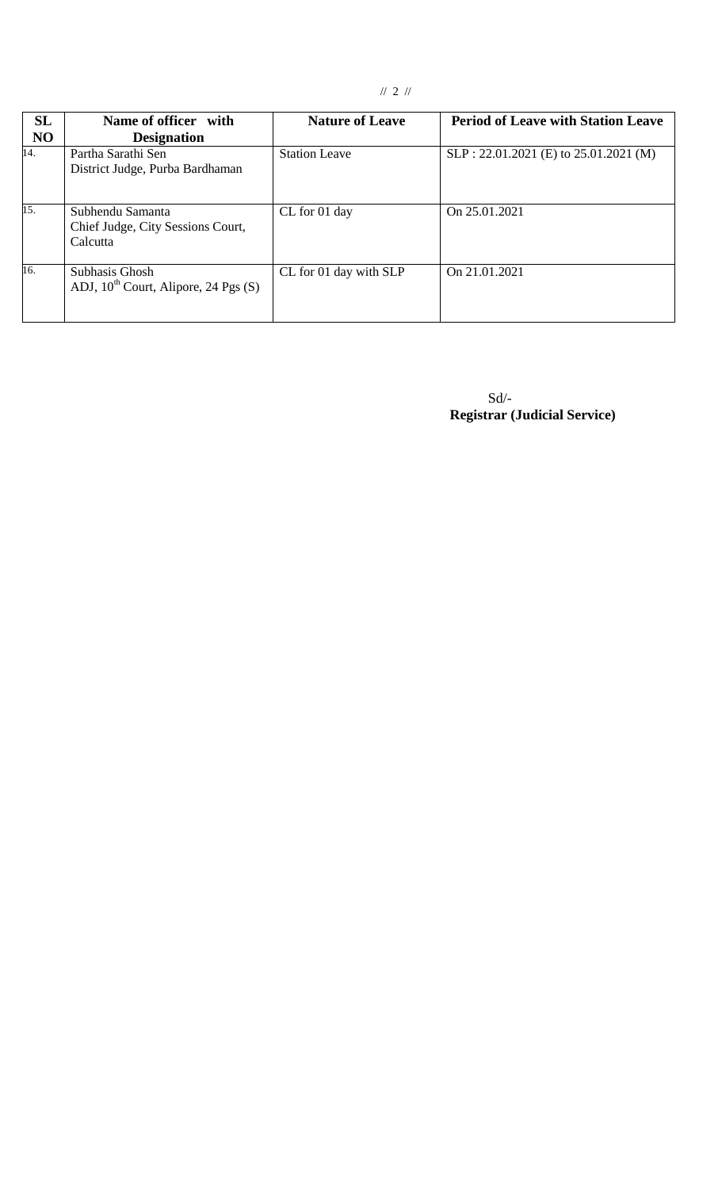// 2 //

| SL             | Name of officer with                                              | <b>Nature of Leave</b> | <b>Period of Leave with Station Leave</b> |
|----------------|-------------------------------------------------------------------|------------------------|-------------------------------------------|
| N <sub>O</sub> | <b>Designation</b>                                                |                        |                                           |
| 14.            | Partha Sarathi Sen<br>District Judge, Purba Bardhaman             | <b>Station Leave</b>   | SLP: 22.01.2021 (E) to 25.01.2021 (M)     |
| 15.            | Subhendu Samanta<br>Chief Judge, City Sessions Court,<br>Calcutta | CL for 01 day          | On 25.01.2021                             |
| 16.            | Subhasis Ghosh<br>ADJ, $10^{th}$ Court, Alipore, 24 Pgs (S)       | CL for 01 day with SLP | On 21.01.2021                             |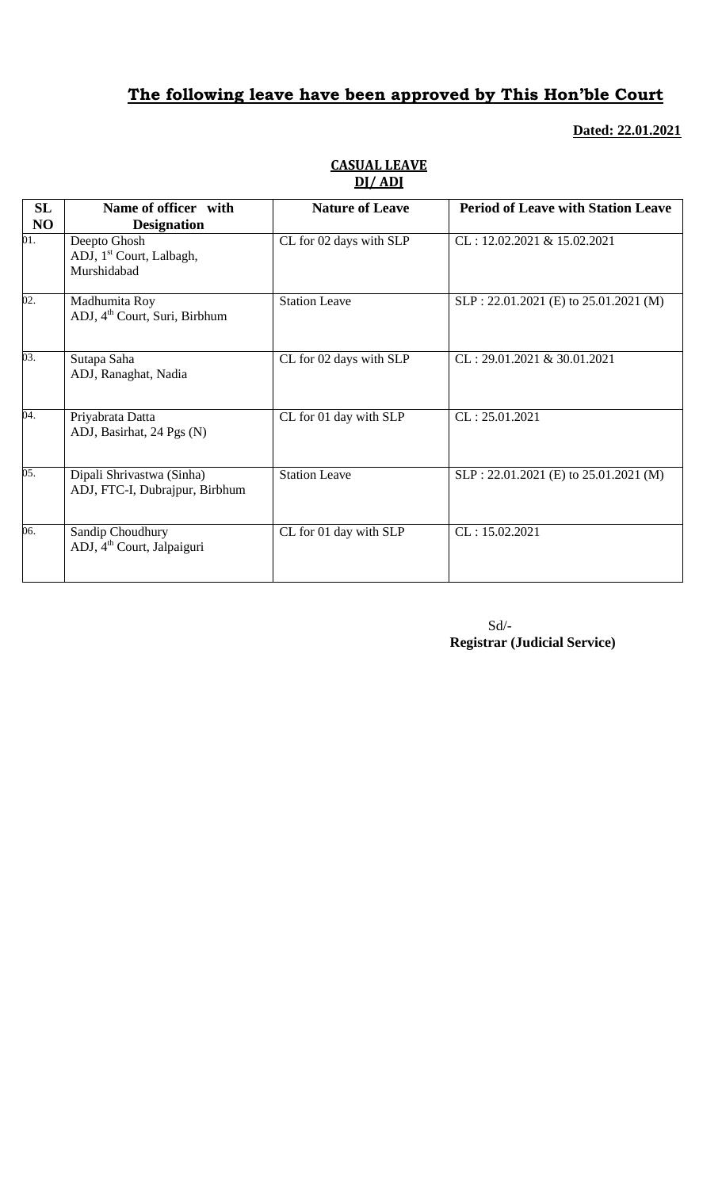### **Dated: 22.01.2021**

| SL<br>N <sub>O</sub> | Name of officer with<br><b>Designation</b>                          | <b>Nature of Leave</b>  | <b>Period of Leave with Station Leave</b> |
|----------------------|---------------------------------------------------------------------|-------------------------|-------------------------------------------|
| $\overline{01}$ .    | Deepto Ghosh<br>ADJ, 1 <sup>st</sup> Court, Lalbagh,<br>Murshidabad | CL for 02 days with SLP | CL: 12.02.2021 & 15.02.2021               |
| 02.                  | Madhumita Roy<br>ADJ, 4 <sup>th</sup> Court, Suri, Birbhum          | <b>Station Leave</b>    | SLP: 22.01.2021 (E) to 25.01.2021 (M)     |
| 03.                  | Sutapa Saha<br>ADJ, Ranaghat, Nadia                                 | CL for 02 days with SLP | CL: 29.01.2021 & 30.01.2021               |
| 04.                  | Priyabrata Datta<br>ADJ, Basirhat, 24 Pgs (N)                       | CL for 01 day with SLP  | CL: 25.01.2021                            |
| 05.                  | Dipali Shrivastwa (Sinha)<br>ADJ, FTC-I, Dubrajpur, Birbhum         | <b>Station Leave</b>    | SLP: 22.01.2021 (E) to 25.01.2021 (M)     |
| 06.                  | Sandip Choudhury<br>ADJ, 4 <sup>th</sup> Court, Jalpaiguri          | CL for 01 day with SLP  | CL: 15.02.2021                            |

#### **CASUAL LEAVE DJ/ ADJ**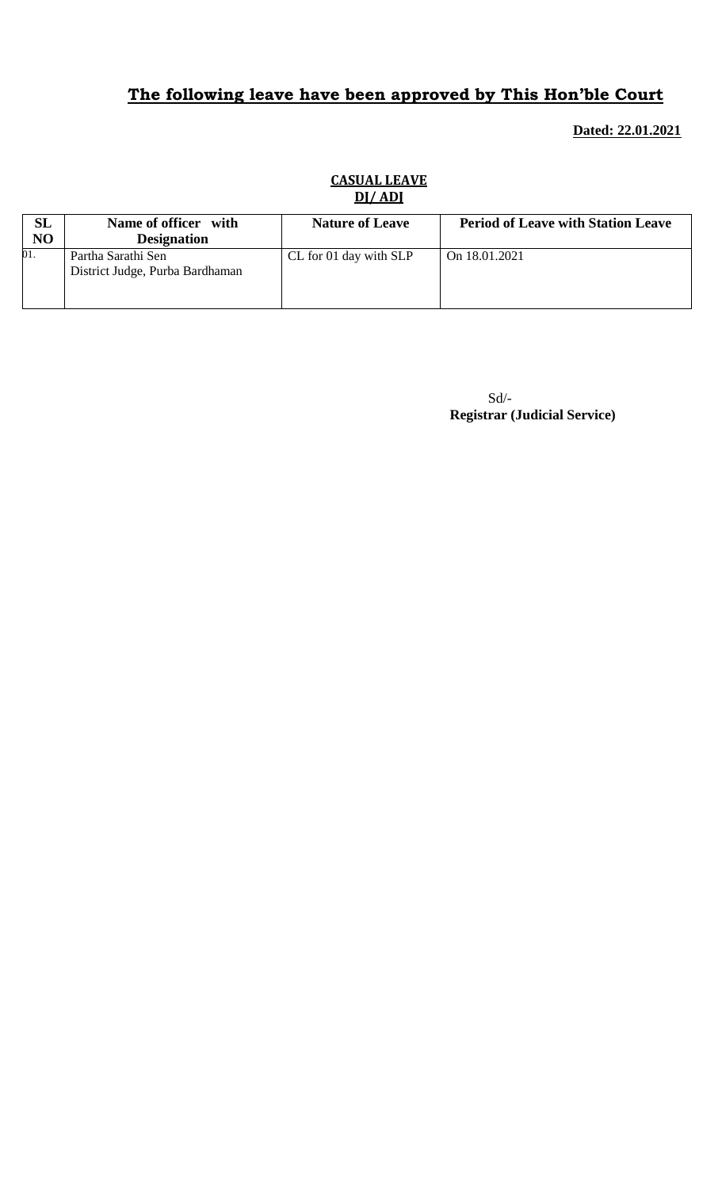**Dated: 22.01.2021**

| SL  | Name of officer with                                  | <b>Nature of Leave</b> | <b>Period of Leave with Station Leave</b> |
|-----|-------------------------------------------------------|------------------------|-------------------------------------------|
| NO  | <b>Designation</b>                                    |                        |                                           |
| 01. | Partha Sarathi Sen<br>District Judge, Purba Bardhaman | CL for 01 day with SLP | On 18.01.2021                             |

#### **CASUAL LEAVE DJ/ ADJ**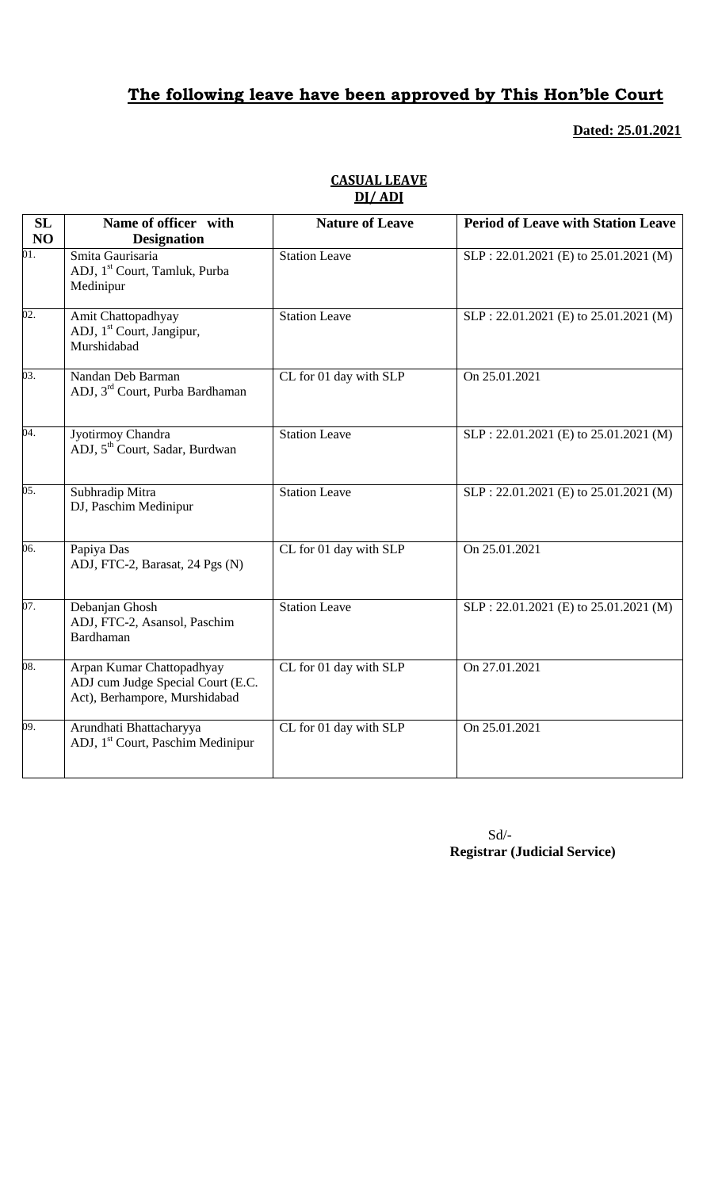## **Dated: 25.01.2021**

| <b>SL</b><br>NO   | Name of officer with<br><b>Designation</b>                                                      | <b>Nature of Leave</b> | <b>Period of Leave with Station Leave</b> |
|-------------------|-------------------------------------------------------------------------------------------------|------------------------|-------------------------------------------|
| 01.               | Smita Gaurisaria<br>ADJ, 1 <sup>st</sup> Court, Tamluk, Purba<br>Medinipur                      | <b>Station Leave</b>   | SLP: 22.01.2021 (E) to 25.01.2021 (M)     |
| 02.               | Amit Chattopadhyay<br>ADJ, 1 <sup>st</sup> Court, Jangipur,<br>Murshidabad                      | Station Leave          | SLP: 22.01.2021 (E) to 25.01.2021 (M)     |
| 03.               | Nandan Deb Barman<br>ADJ, 3rd Court, Purba Bardhaman                                            | CL for 01 day with SLP | On 25.01.2021                             |
| 04.               | Jyotirmoy Chandra<br>ADJ, 5 <sup>th</sup> Court, Sadar, Burdwan                                 | <b>Station Leave</b>   | SLP: 22.01.2021 (E) to 25.01.2021 (M)     |
| 05.               | Subhradip Mitra<br>DJ, Paschim Medinipur                                                        | <b>Station Leave</b>   | SLP: 22.01.2021 (E) to 25.01.2021 (M)     |
| 06.               | Papiya Das<br>ADJ, FTC-2, Barasat, 24 Pgs (N)                                                   | CL for 01 day with SLP | On 25.01.2021                             |
| 07.               | Debanjan Ghosh<br>ADJ, FTC-2, Asansol, Paschim<br>Bardhaman                                     | <b>Station Leave</b>   | SLP: 22.01.2021 (E) to 25.01.2021 (M)     |
| $\overline{08}$ . | Arpan Kumar Chattopadhyay<br>ADJ cum Judge Special Court (E.C.<br>Act), Berhampore, Murshidabad | CL for 01 day with SLP | On 27.01.2021                             |
| $\overline{09}$ . | Arundhati Bhattacharyya<br>ADJ, 1 <sup>st</sup> Court, Paschim Medinipur                        | CL for 01 day with SLP | On 25.01.2021                             |

#### **CASUAL LEAVE DJ/ ADJ**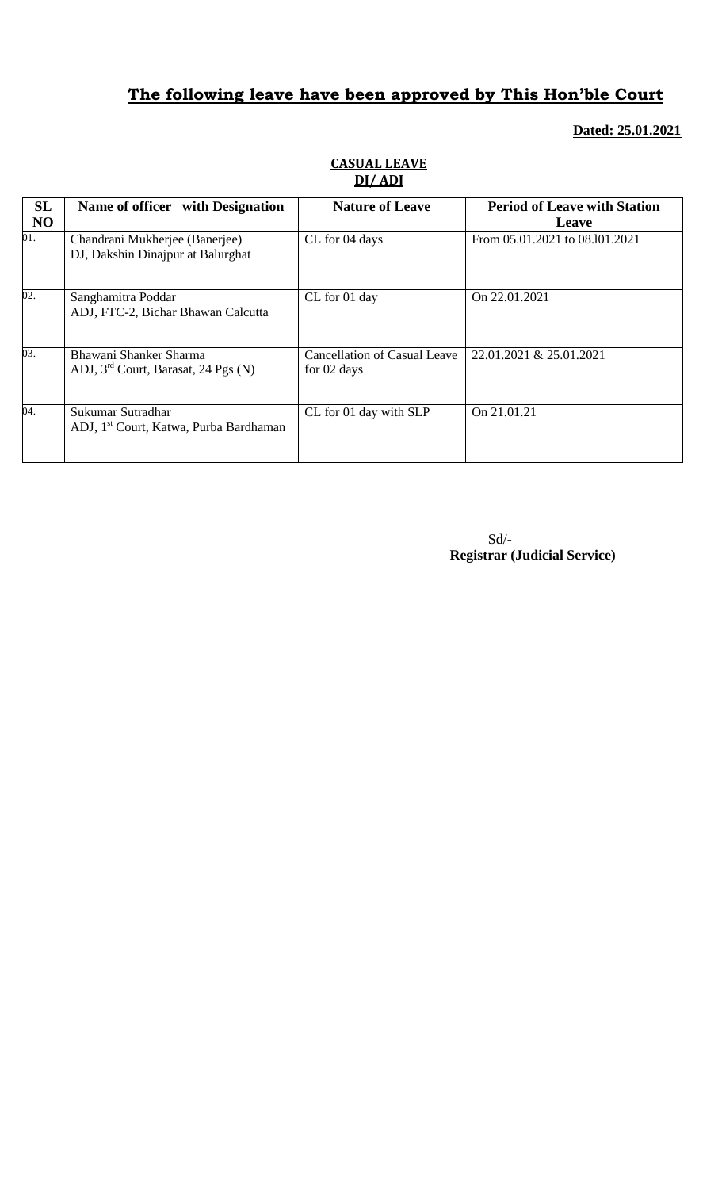## **Dated: 25.01.2021**

| SL<br>N <sub>O</sub> | Name of officer with Designation                                          | <b>Nature of Leave</b>                      | <b>Period of Leave with Station</b><br>Leave |
|----------------------|---------------------------------------------------------------------------|---------------------------------------------|----------------------------------------------|
| 01.                  | Chandrani Mukherjee (Banerjee)<br>DJ, Dakshin Dinajpur at Balurghat       | CL for 04 days                              | From 05.01.2021 to 08.101.2021               |
| $\overline{02}$ .    | Sanghamitra Poddar<br>ADJ, FTC-2, Bichar Bhawan Calcutta                  | CL for 01 day                               | On 22.01.2021                                |
| 03.                  | Bhawani Shanker Sharma<br>ADJ, 3 <sup>rd</sup> Court, Barasat, 24 Pgs (N) | Cancellation of Casual Leave<br>for 02 days | 22.01.2021 & 25.01.2021                      |
| 04.                  | Sukumar Sutradhar<br>ADJ, 1 <sup>st</sup> Court, Katwa, Purba Bardhaman   | CL for 01 day with SLP                      | On 21.01.21                                  |

#### **CASUAL LEAVE DJ/ ADJ**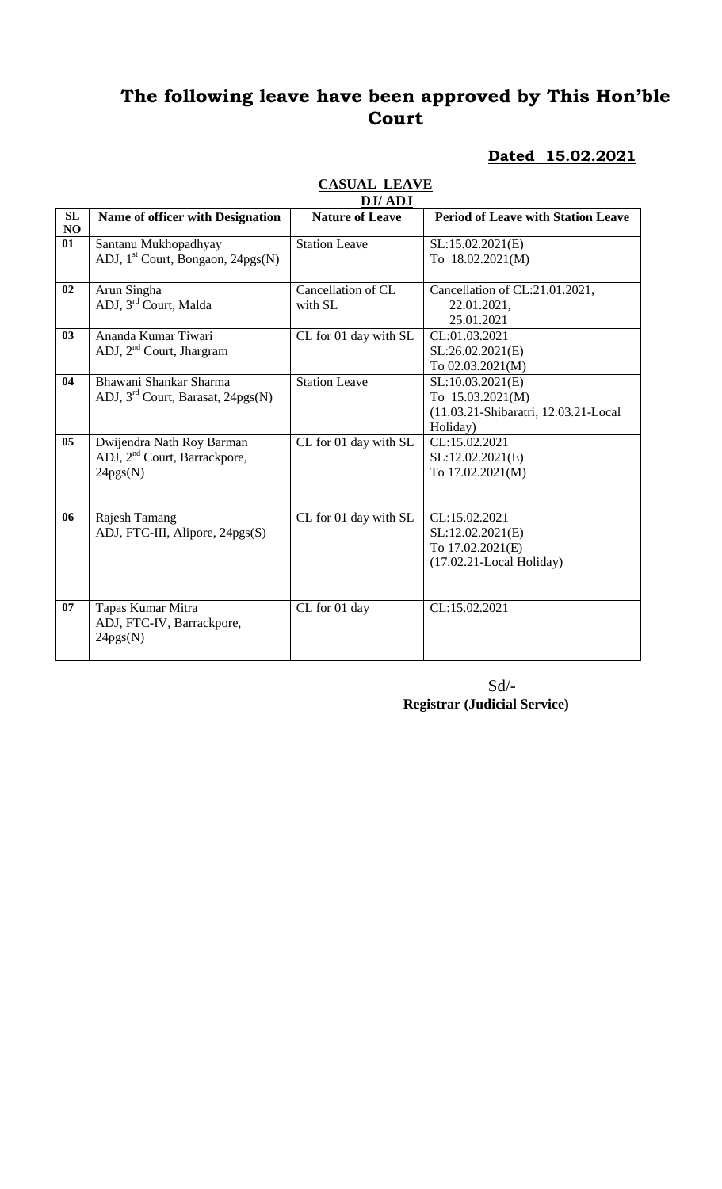#### **Dated 15.02.2021**

|          | DJ/ADJ                                                                            |                               |                                                                                          |  |
|----------|-----------------------------------------------------------------------------------|-------------------------------|------------------------------------------------------------------------------------------|--|
| SL<br>NO | Name of officer with Designation                                                  | <b>Nature of Leave</b>        | <b>Period of Leave with Station Leave</b>                                                |  |
| 01       | Santanu Mukhopadhyay<br>ADJ, 1 <sup>st</sup> Court, Bongaon, 24pgs(N)             | <b>Station Leave</b>          | SL:15.02.2021(E)<br>To 18.02.2021(M)                                                     |  |
| 02       | Arun Singha<br>ADJ, 3rd Court, Malda                                              | Cancellation of CL<br>with SL | Cancellation of CL:21.01.2021,<br>22.01.2021,<br>25.01.2021                              |  |
| 03       | Ananda Kumar Tiwari<br>ADJ, $2nd$ Court, Jhargram                                 | CL for 01 day with SL         | CL:01.03.2021<br>SL:26.02.2021(E)<br>To 02.03.2021(M)                                    |  |
| 04       | Bhawani Shankar Sharma<br>ADJ, $3rd$ Court, Barasat, 24pgs(N)                     | <b>Station Leave</b>          | SL:10.03.2021(E)<br>To 15.03.2021(M)<br>(11.03.21-Shibaratri, 12.03.21-Local<br>Holiday) |  |
| 05       | Dwijendra Nath Roy Barman<br>ADJ, 2 <sup>nd</sup> Court, Barrackpore,<br>24pgs(N) | CL for 01 day with SL         | CL:15.02.2021<br>SL:12.02.2021(E)<br>To 17.02.2021(M)                                    |  |
| 06       | Rajesh Tamang<br>ADJ, FTC-III, Alipore, 24pgs(S)                                  | CL for 01 day with SL         | CL:15.02.2021<br>SL:12.02.2021(E)<br>To 17.02.2021(E)<br>$(17.02.21$ -Local Holiday)     |  |
| 07       | Tapas Kumar Mitra<br>ADJ, FTC-IV, Barrackpore,<br>24pgs(N)                        | CL for 01 day                 | CL:15.02.2021                                                                            |  |

#### **CASUAL LEAVE**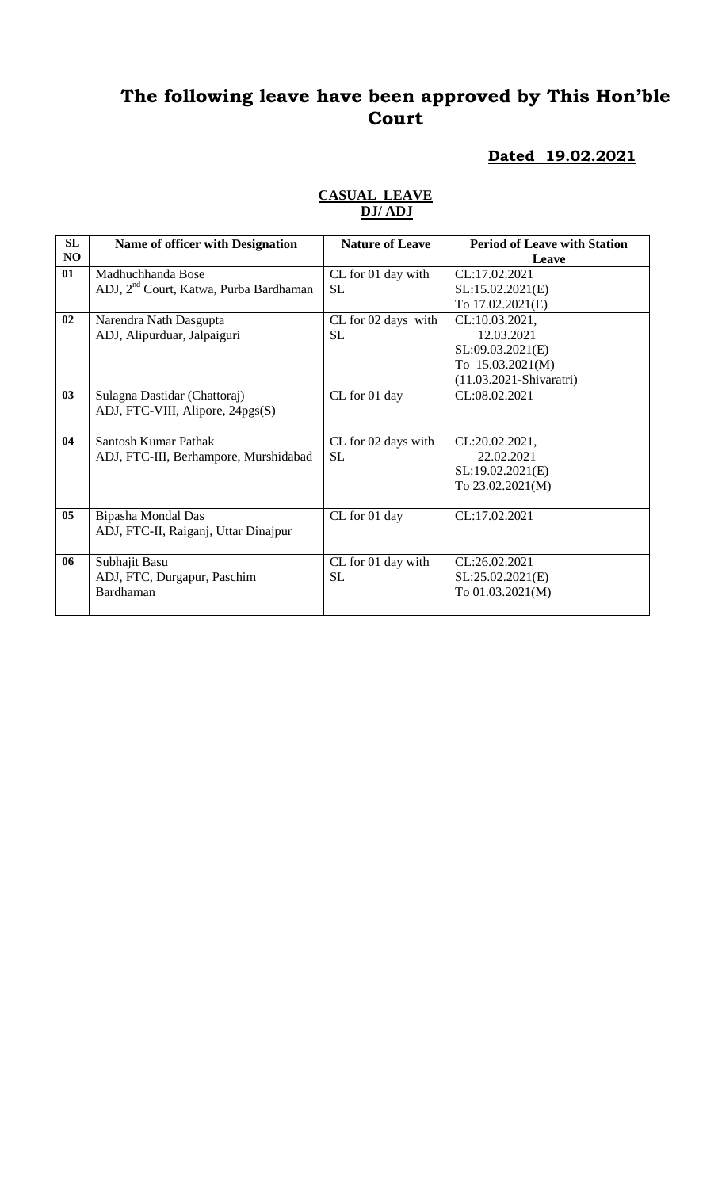#### **Dated 19.02.2021**

#### **CASUAL LEAVE DJ/ ADJ**

| SL             | <b>Name of officer with Designation</b>            | <b>Nature of Leave</b> | <b>Period of Leave with Station</b> |
|----------------|----------------------------------------------------|------------------------|-------------------------------------|
| NO.            |                                                    |                        | Leave                               |
| 01             | Madhuchhanda Bose                                  | CL for 01 day with     | CL:17.02.2021                       |
|                | ADJ, 2 <sup>nd</sup> Court, Katwa, Purba Bardhaman | <b>SL</b>              | SL:15.02.2021(E)                    |
|                |                                                    |                        | To 17.02.2021(E)                    |
| 02             | Narendra Nath Dasgupta                             | CL for 02 days with    | CL:10.03.2021,                      |
|                | ADJ, Alipurduar, Jalpaiguri                        | SL                     | 12.03.2021                          |
|                |                                                    |                        | SL:09.03.2021(E)                    |
|                |                                                    |                        | To 15.03.2021(M)                    |
|                |                                                    |                        | $(11.03.2021-Shivaratri)$           |
| 03             | Sulagna Dastidar (Chattoraj)                       | CL for 01 day          | CL:08.02.2021                       |
|                | ADJ, FTC-VIII, Alipore, 24pgs(S)                   |                        |                                     |
|                |                                                    |                        |                                     |
| 04             | <b>Santosh Kumar Pathak</b>                        | CL for 02 days with    | CL:20.02.2021,                      |
|                | ADJ, FTC-III, Berhampore, Murshidabad              | SL                     | 22.02.2021                          |
|                |                                                    |                        | SL:19.02.2021(E)                    |
|                |                                                    |                        | To 23.02.2021(M)                    |
|                |                                                    |                        |                                     |
| 0 <sub>5</sub> | Bipasha Mondal Das                                 | CL for 01 day          | CL:17.02.2021                       |
|                | ADJ, FTC-II, Raiganj, Uttar Dinajpur               |                        |                                     |
|                |                                                    |                        |                                     |
| 06             | Subhajit Basu                                      | CL for 01 day with     | CL:26.02.2021                       |
|                | ADJ, FTC, Durgapur, Paschim                        | SL                     | SL:25.02.2021(E)                    |
|                | Bardhaman                                          |                        | To 01.03.2021(M)                    |
|                |                                                    |                        |                                     |